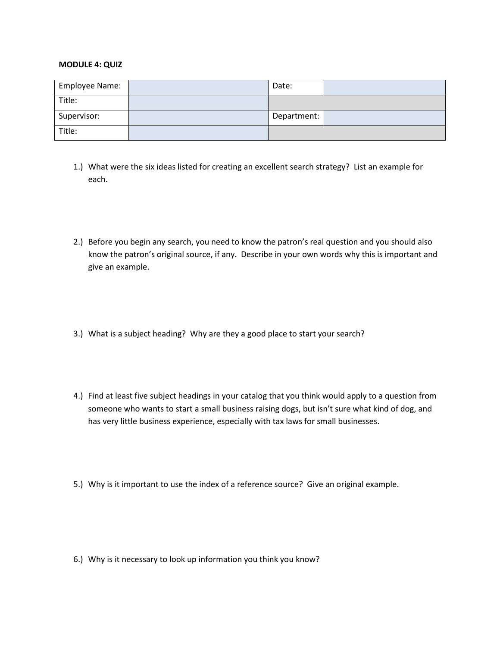## **MODULE 4: QUIZ**

| Employee Name: | Date:       |  |
|----------------|-------------|--|
| Title:         |             |  |
| Supervisor:    | Department: |  |
| Title:         |             |  |

- 1.) What were the six ideas listed for creating an excellent search strategy? List an example for each.
- 2.) Before you begin any search, you need to know the patron's real question and you should also know the patron's original source, if any. Describe in your own words why this is important and give an example.
- 3.) What is a subject heading? Why are they a good place to start your search?
- 4.) Find at least five subject headings in your catalog that you think would apply to a question from someone who wants to start a small business raising dogs, but isn't sure what kind of dog, and has very little business experience, especially with tax laws for small businesses.
- 5.) Why is it important to use the index of a reference source? Give an original example.

6.) Why is it necessary to look up information you think you know?